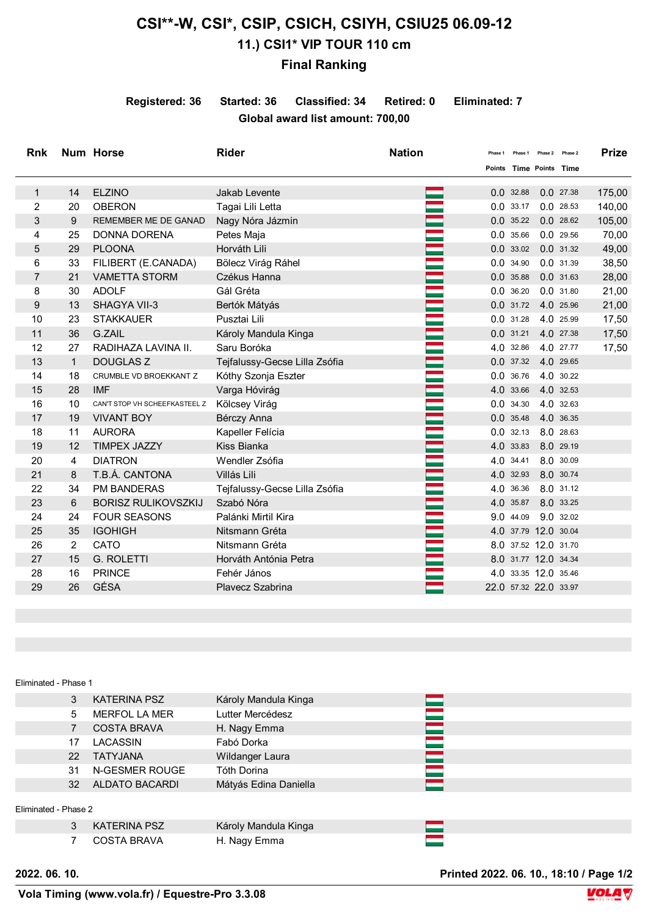## **CSI\*\*-W, CSI\*, CSIP, CSICH, CSIYH, CSIU25 06.09-12 11.) CSI1\* VIP TOUR 110 cm**

## **Final Ranking**

**Registered: 36 Started: 36 Classified: 34 Retired: 0 Eliminated: 7 Global award list amount: 700,00**

| <b>Rnk</b>     |                | <b>Num Horse</b>              | <b>Rider</b>                  | <b>Nation</b> | Phase 1 |           | Phase 1 Phase 2 Phase 2 |           | <b>Prize</b> |
|----------------|----------------|-------------------------------|-------------------------------|---------------|---------|-----------|-------------------------|-----------|--------------|
|                |                |                               |                               |               |         |           | Points Time Points Time |           |              |
| $\mathbf{1}$   | 14             | <b>ELZINO</b>                 | Jakab Levente                 |               |         | 0.032.88  |                         | 0.027.38  | 175,00       |
| $\overline{c}$ | 20             | <b>OBERON</b>                 | Tagai Lili Letta              |               |         | 0.033.17  | 0.028.53                |           | 140,00       |
| 3              | 9              | <b>REMEMBER ME DE GANAD</b>   | Nagy Nóra Jázmin              |               |         | 0.035.22  | 0.028.62                |           | 105,00       |
| 4              | 25             | <b>DONNA DORENA</b>           | Petes Maja                    |               |         | 0.035.66  | 0.029.56                |           | 70,00        |
| 5              | 29             | <b>PLOONA</b>                 | Horváth Lili                  |               |         | 0.033.02  | 0.031.32                |           | 49,00        |
| 6              | 33             | FILIBERT (E.CANADA)           | Bölecz Virág Ráhel            |               |         | 0.034.90  |                         | 0.0 31.39 | 38,50        |
| 7              | 21             | <b>VAMETTA STORM</b>          | Czékus Hanna                  |               |         | 0.035.88  | 0.0 31.63               |           | 28,00        |
| 8              | 30             | <b>ADOLF</b>                  | Gál Gréta                     |               |         | 0.036.20  |                         | 0.0 31.80 | 21,00        |
| 9              | 13             | <b>SHAGYA VII-3</b>           | Bertók Mátyás                 |               |         |           | 0.0 31.72 4.0 25.96     |           | 21,00        |
| 10             | 23             | <b>STAKKAUER</b>              | Pusztai Lili                  |               |         |           | 0.0 31.28 4.0 25.99     |           | 17,50        |
| 11             | 36             | G.ZAIL                        | Károly Mandula Kinga          |               |         | 0.031.21  | 4.0 27.38               |           | 17,50        |
| 12             | 27             | RADIHAZA LAVINA II.           | Saru Boróka                   |               |         | 4.0 32.86 | 4.0 27.77               |           | 17,50        |
| 13             | $\mathbf{1}$   | <b>DOUGLAS Z</b>              | Tejfalussy-Gecse Lilla Zsófia |               |         |           | 0.0 37.32 4.0 29.65     |           |              |
| 14             | 18             | CRUMBLE VD BROEKKANT Z        | Kóthy Szonja Eszter           |               |         | 0.0 36.76 | 4.0 30.22               |           |              |
| 15             | 28             | <b>IMF</b>                    | Varga Hóvirág                 |               |         | 4.0 33.66 | 4.0 32.53               |           |              |
| 16             | 10             | CAN'T STOP VH SCHEEFKASTEEL Z | Kölcsey Virág                 |               |         | 0.034.30  | 4.0 32.63               |           |              |
| 17             | 19             | <b>VIVANT BOY</b>             | Bérczy Anna                   |               |         | 0.0 35.48 | 4.0 36.35               |           |              |
| 18             | 11             | <b>AURORA</b>                 | Kapeller Felícia              |               |         |           | 0.0 32.13 8.0 28.63     |           |              |
| 19             | 12             | <b>TIMPEX JAZZY</b>           | Kiss Bianka                   |               |         | 4.0 33.83 | 8.0 29.19               |           |              |
| 20             | 4              | <b>DIATRON</b>                | Wendler Zsófia                |               |         | 4.0 34.41 | 8.0 30.09               |           |              |
| 21             | 8              | T.B.Á. CANTONA                | Villás Lili                   |               |         | 4.0 32.93 | 8.0 30.74               |           |              |
| 22             | 34             | <b>PM BANDERAS</b>            | Tejfalussy-Gecse Lilla Zsófia |               |         | 4.0 36.36 | 8.0 31.12               |           |              |
| 23             | 6              | <b>BORISZ RULIKOVSZKIJ</b>    | Szabó Nóra                    |               |         |           | 4.0 35.87 8.0 33.25     |           |              |
| 24             | 24             | <b>FOUR SEASONS</b>           | Palánki Mirtil Kira           |               |         |           | 9.0 44.09 9.0 32.02     |           |              |
| 25             | 35             | <b>IGOHIGH</b>                | Nitsmann Gréta                |               |         |           | 4.0 37.79 12.0 30.04    |           |              |
| 26             | $\overline{2}$ | CATO                          | Nitsmann Gréta                |               |         |           | 8.0 37.52 12.0 31.70    |           |              |
| 27             | 15             | <b>G. ROLETTI</b>             | Horváth Antónia Petra         |               |         |           | 8.0 31.77 12.0 34.34    |           |              |
| 28             | 16             | <b>PRINCE</b>                 | Fehér János                   |               |         |           | 4.0 33.35 12.0 35.46    |           |              |
| 29             | 26             | GÉSA                          | Plavecz Szabrina              |               |         |           | 22.0 57.32 22.0 33.97   |           |              |
|                |                |                               |                               |               |         |           |                         |           |              |

## Eliminated - Phase 1

|                      | 3               | KATERINA PSZ         | Károly Mandula Kinga  |  |
|----------------------|-----------------|----------------------|-----------------------|--|
|                      | 5               | <b>MERFOL LA MER</b> | Lutter Mercédesz      |  |
|                      |                 | <b>COSTA BRAVA</b>   | H. Nagy Emma          |  |
|                      | 17              | LACASSIN             | Fabó Dorka            |  |
|                      | 22              | <b>TATYJANA</b>      | Wildanger Laura       |  |
|                      | 31              | N-GESMER ROUGE       | Tóth Dorina           |  |
|                      | 32 <sup>2</sup> | ALDATO BACARDI       | Mátyás Edina Daniella |  |
|                      |                 |                      |                       |  |
| Eliminated - Phase 2 |                 |                      |                       |  |
|                      | 3               | <b>KATERINA PSZ</b>  | Károly Mandula Kinga  |  |

7 COSTA BRAVA H. Nagy Emma

**2022. 06. 10. Printed 2022. 06. 10., 18:10 / Page 1/2**

E